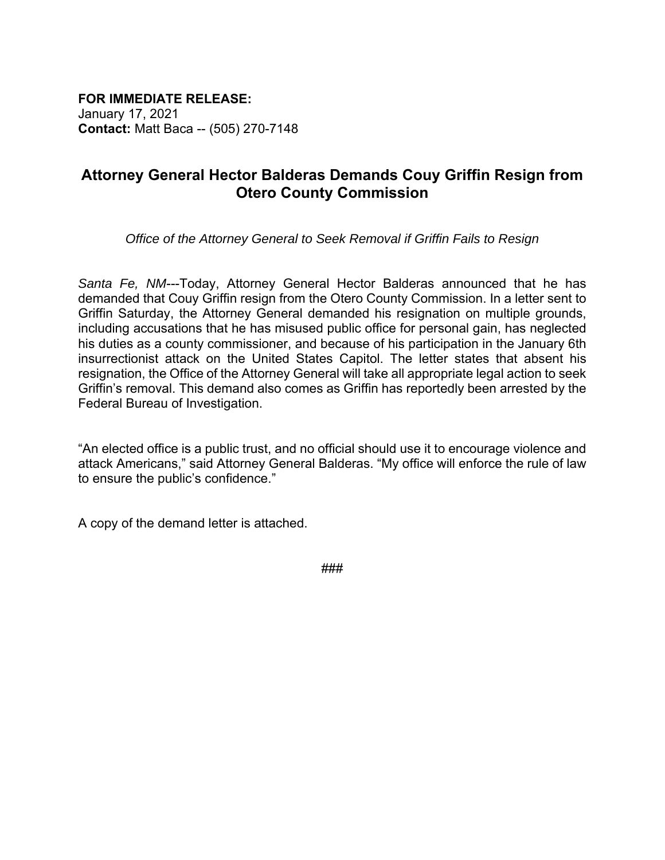**FOR IMMEDIATE RELEASE:**

January 17, 2021 **Contact:** Matt Baca -- (505) 270-7148

## **Attorney General Hector Balderas Demands Couy Griffin Resign from Otero County Commission**

*Office of the Attorney General to Seek Removal if Griffin Fails to Resign*

*Santa Fe, NM*---Today, Attorney General Hector Balderas announced that he has demanded that Couy Griffin resign from the Otero County Commission. In a letter sent to Griffin Saturday, the Attorney General demanded his resignation on multiple grounds, including accusations that he has misused public office for personal gain, has neglected his duties as a county commissioner, and because of his participation in the January 6th insurrectionist attack on the United States Capitol. The letter states that absent his resignation, the Office of the Attorney General will take all appropriate legal action to seek Griffin's removal. This demand also comes as Griffin has reportedly been arrested by the Federal Bureau of Investigation.

"An elected office is a public trust, and no official should use it to encourage violence and attack Americans," said Attorney General Balderas. "My office will enforce the rule of law to ensure the public's confidence."

A copy of the demand letter is attached.

###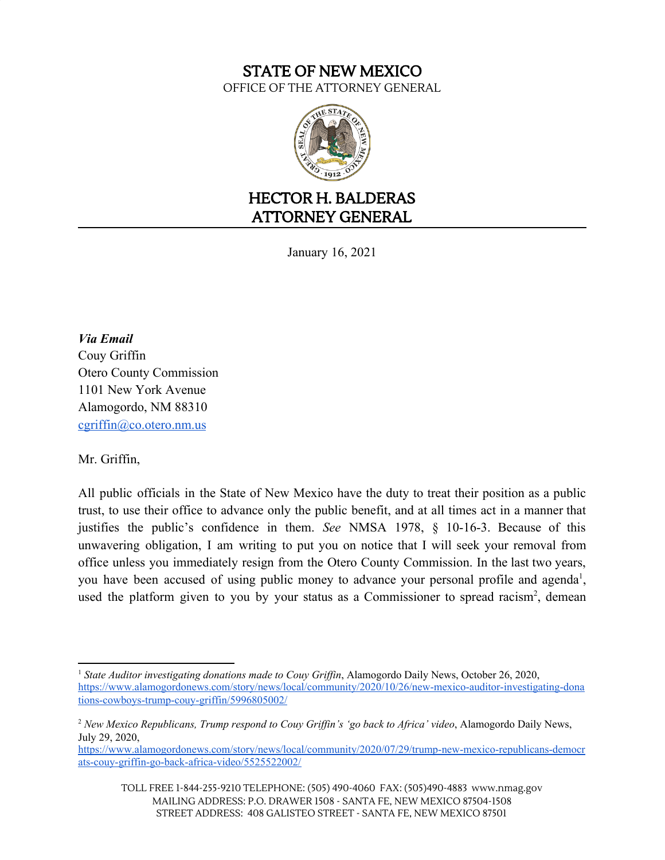## STATE OF NEW MEXICO OFFICE OF THE ATTORNEY GENERAL



## HECTOR H. BALDERAS ATTORNEY GENERAL

January 16, 2021

*Via Email* Couy Griffin Otero County Commission 1101 New York Avenue Alamogordo, NM 88310 [cgriffin@co.otero.nm.us](mailto:cgriffin@co.otero.nm.us)

Mr. Griffin,

All public officials in the State of New Mexico have the duty to treat their position as a public trust, to use their office to advance only the public benefit, and at all times act in a manner that justifies the public's confidence in them. *See* NMSA 1978, § 10-16-3. Because of this unwavering obligation, I am writing to put you on notice that I will seek your removal from office unless you immediately resign from the Otero County Commission. In the last two years, you have been accused of using public money to advance your personal profile and agenda<sup>1</sup>, used the platform given to you by your status as a Commissioner to spread racism<sup>2</sup>, demean

<sup>1</sup> *State Auditor investigating donations made to Couy Grif in*, Alamogordo Daily News, October 26, 2020, [https://www.alamogordonews.com/story/news/local/community/2020/10/26/new-mexico-auditor-investigating-dona](https://www.alamogordonews.com/story/news/local/community/2020/10/26/new-mexico-auditor-investigating-donations-cowboys-trump-couy-griffin/5996805002/) [tions-cowboys-trump-couy-griffin/5996805002/](https://www.alamogordonews.com/story/news/local/community/2020/10/26/new-mexico-auditor-investigating-donations-cowboys-trump-couy-griffin/5996805002/)

<sup>2</sup> *New Mexico Republicans, Trump respond to Couy Grif in's 'go back to Africa' video*, Alamogordo Daily News, July 29, 2020,

[https://www.alamogordonews.com/story/news/local/community/2020/07/29/trump-new-mexico-republicans-democr](https://www.alamogordonews.com/story/news/local/community/2020/07/29/trump-new-mexico-republicans-democrats-couy-griffin-go-back-africa-video/5525522002/) [ats-couy-griffin-go-back-africa-video/5525522002/](https://www.alamogordonews.com/story/news/local/community/2020/07/29/trump-new-mexico-republicans-democrats-couy-griffin-go-back-africa-video/5525522002/)

TOLL FREE 1-844-255-9210 TELEPHONE: (505) 490-4060 FAX: (505)490-4883 www.nmag.gov MAILING ADDRESS: P.O. DRAWER 1508 - SANTA FE, NEW MEXICO 87504-1508 STREET ADDRESS: 408 GALISTEO STREET - SANTA FE, NEW MEXICO 87501